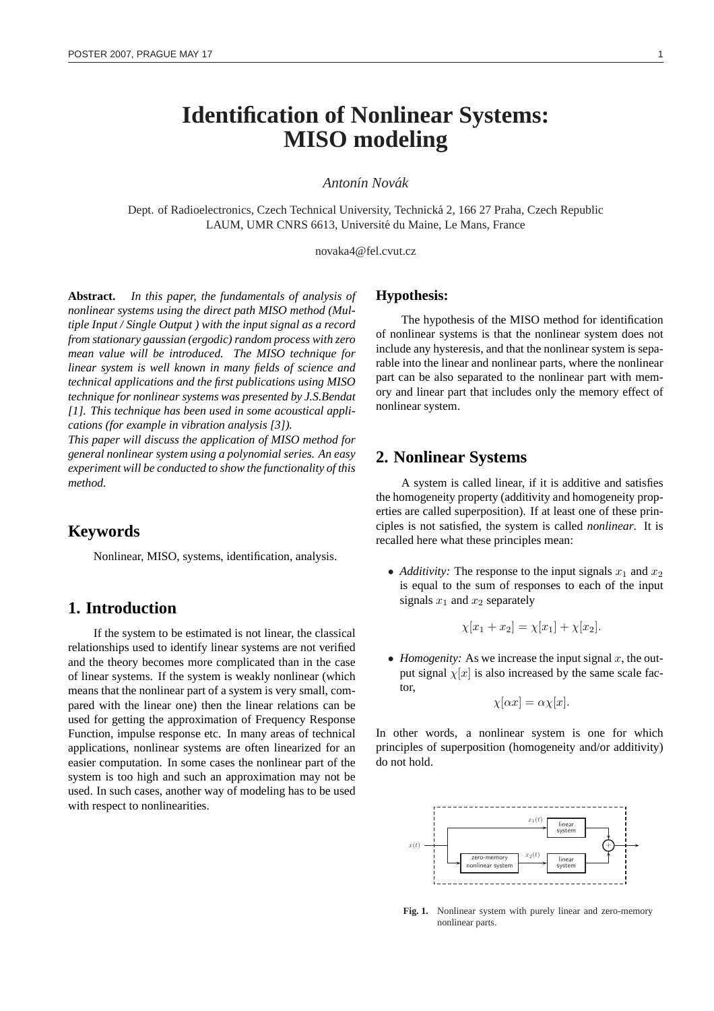# **Identification of Nonlinear Systems: MISO modeling**

#### *Anton´ın Novak´*

Dept. of Radioelectronics, Czech Technical University, Technicka 2, 166 27 Praha, Czech Republic ´ LAUM, UMR CNRS 6613, Université du Maine, Le Mans, France

novaka4@fel.cvut.cz

**Abstract.** *In this paper, the fundamentals of analysis of nonlinear systems using the direct path MISO method (Multiple Input / Single Output ) with the input signal as a record from stationary gaussian (ergodic) random process with zero mean value will be introduced. The MISO technique for linear system is well known in many fields of science and technical applications and the first publications using MISO technique for nonlinear systems was presented by J.S.Bendat [1]. This technique has been used in some acoustical applications (for example in vibration analysis [3]).*

*This paper will discuss the application of MISO method for general nonlinear system using a polynomial series. An easy experiment will be conducted to show the functionality of this method.*

# **Keywords**

Nonlinear, MISO, systems, identification, analysis.

## **1. Introduction**

If the system to be estimated is not linear, the classical relationships used to identify linear systems are not verified and the theory becomes more complicated than in the case of linear systems. If the system is weakly nonlinear (which means that the nonlinear part of a system is very small, compared with the linear one) then the linear relations can be used for getting the approximation of Frequency Response Function, impulse response etc. In many areas of technical applications, nonlinear systems are often linearized for an easier computation. In some cases the nonlinear part of the system is too high and such an approximation may not be used. In such cases, another way of modeling has to be used with respect to nonlinearities.

#### **Hypothesis:**

The hypothesis of the MISO method for identification of nonlinear systems is that the nonlinear system does not include any hysteresis, and that the nonlinear system is separable into the linear and nonlinear parts, where the nonlinear part can be also separated to the nonlinear part with memory and linear part that includes only the memory effect of nonlinear system.

#### **2. Nonlinear Systems**

A system is called linear, if it is additive and satisfies the homogeneity property (additivity and homogeneity properties are called superposition). If at least one of these principles is not satisfied, the system is called *nonlinear*. It is recalled here what these principles mean:

• *Additivity:* The response to the input signals  $x_1$  and  $x_2$ is equal to the sum of responses to each of the input signals  $x_1$  and  $x_2$  separately

$$
\chi[x_1 + x_2] = \chi[x_1] + \chi[x_2].
$$

• *Homogenity:* As we increase the input signal  $x$ , the output signal  $\chi[x]$  is also increased by the same scale factor,

$$
\chi[\alpha x] = \alpha \chi[x].
$$

In other words, a nonlinear system is one for which principles of superposition (homogeneity and/or additivity) do not hold.



**Fig. 1.** Nonlinear system with purely linear and zero-memory nonlinear parts.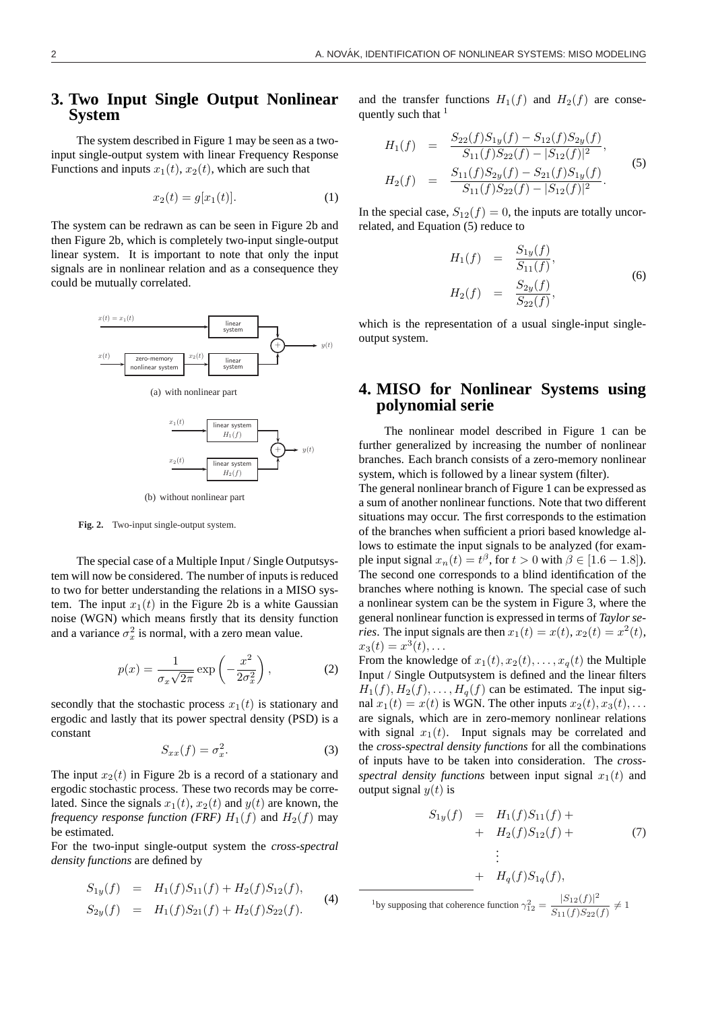# **3. Two Input Single Output Nonlinear System**

The system described in Figure 1 may be seen as a twoinput single-output system with linear Frequency Response Functions and inputs  $x_1(t)$ ,  $x_2(t)$ , which are such that

$$
x_2(t) = g[x_1(t)].
$$
 (1)

The system can be redrawn as can be seen in Figure 2b and then Figure 2b, which is completely two-input single-output linear system. It is important to note that only the input signals are in nonlinear relation and as a consequence they could be mutually correlated.



(b) without nonlinear part

**Fig. 2.** Two-input single-output system.

The special case of a Multiple Input / Single Outputsystem will now be considered. The number of inputs is reduced to two for better understanding the relations in a MISO system. The input  $x_1(t)$  in the Figure 2b is a white Gaussian noise (WGN) which means firstly that its density function and a variance  $\sigma_x^2$  is normal, with a zero mean value.

$$
p(x) = \frac{1}{\sigma_x \sqrt{2\pi}} \exp\left(-\frac{x^2}{2\sigma_x^2}\right),\tag{2}
$$

secondly that the stochastic process  $x_1(t)$  is stationary and ergodic and lastly that its power spectral density (PSD) is a constant

$$
S_{xx}(f) = \sigma_x^2.
$$
 (3)

The input  $x_2(t)$  in Figure 2b is a record of a stationary and ergodic stochastic process. These two records may be correlated. Since the signals  $x_1(t)$ ,  $x_2(t)$  and  $y(t)$  are known, the *frequency response function (FRF)*  $H_1(f)$  and  $H_2(f)$  may be estimated.

For the two-input single-output system the *cross-spectral density functions* are defined by

$$
S_{1y}(f) = H_1(f)S_{11}(f) + H_2(f)S_{12}(f),
$$
  
\n
$$
S_{2y}(f) = H_1(f)S_{21}(f) + H_2(f)S_{22}(f).
$$
 (4)

and the transfer functions  $H_1(f)$  and  $H_2(f)$  are consequently such that <sup>1</sup>

$$
H_1(f) = \frac{S_{22}(f)S_{1y}(f) - S_{12}(f)S_{2y}(f)}{S_{11}(f)S_{22}(f) - |S_{12}(f)|^2},
$$
  
\n
$$
H_2(f) = \frac{S_{11}(f)S_{2y}(f) - S_{21}(f)S_{1y}(f)}{S_{11}(f)S_{22}(f) - |S_{12}(f)|^2}.
$$
\n(5)

In the special case,  $S_{12}(f) = 0$ , the inputs are totally uncorrelated, and Equation (5) reduce to

$$
H_1(f) = \frac{S_{1y}(f)}{S_{11}(f)},
$$
  
\n
$$
H_2(f) = \frac{S_{2y}(f)}{S_{22}(f)},
$$
\n(6)

which is the representation of a usual single-input singleoutput system.

# **4. MISO for Nonlinear Systems using polynomial serie**

The nonlinear model described in Figure 1 can be further generalized by increasing the number of nonlinear branches. Each branch consists of a zero-memory nonlinear system, which is followed by a linear system (filter).

The general nonlinear branch of Figure 1 can be expressed as a sum of another nonlinear functions. Note that two different situations may occur. The first corresponds to the estimation of the branches when sufficient a priori based knowledge allows to estimate the input signals to be analyzed (for example input signal  $x_n(t) = t^{\beta}$ , for  $t > 0$  with  $\beta \in [1.6 - 1.8]$ ). The second one corresponds to a blind identification of the branches where nothing is known. The special case of such a nonlinear system can be the system in Figure 3, where the general nonlinear function is expressed in terms of *Taylor series*. The input signals are then  $x_1(t) = x(t)$ ,  $x_2(t) = x^2(t)$ ,  $x_3(t) = x^3(t), \ldots$ 

From the knowledge of  $x_1(t), x_2(t), \ldots, x_q(t)$  the Multiple Input / Single Outputsystem is defined and the linear filters  $H_1(f), H_2(f), \ldots, H_q(f)$  can be estimated. The input signal  $x_1(t) = x(t)$  is WGN. The other inputs  $x_2(t), x_3(t), \ldots$ are signals, which are in zero-memory nonlinear relations with signal  $x_1(t)$ . Input signals may be correlated and the *cross-spectral density functions* for all the combinations of inputs have to be taken into consideration. The *crossspectral density functions* between input signal  $x_1(t)$  and output signal  $y(t)$  is

$$
S_{1y}(f) = H_1(f)S_{11}(f) + H_2(f)S_{12}(f) + H_3(f)S_{12}(f) + H_4(f)S_{14}(f),
$$
\n(7)

<sup>1</sup>by supposing that coherence function  $\gamma_{12}^2 = \frac{|S_{12}(f)|^2}{S_{12}(f)S_{22}(f)}$  $\frac{S_{12}(f)}{S_{11}(f)S_{22}(f)} \neq 1$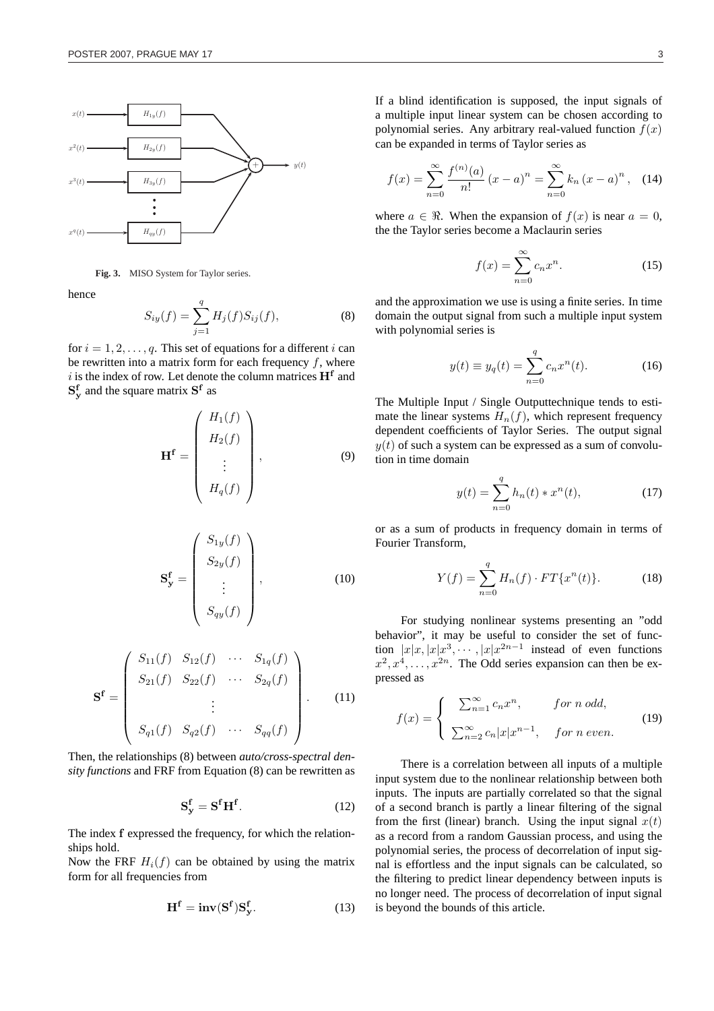

**Fig. 3.** MISO System for Taylor series.

hence

$$
S_{iy}(f) = \sum_{j=1}^{q} H_j(f) S_{ij}(f),
$$
 (8)

for  $i = 1, 2, \ldots, q$ . This set of equations for a different i can be rewritten into a matrix form for each frequency  $f$ , where i is the index of row. Let denote the column matrices  $H<sup>f</sup>$  and  $S_y^f$  and the square matrix  $S_f$  as

$$
\mathbf{H}^{\mathbf{f}} = \begin{pmatrix} H_1(f) \\ H_2(f) \\ \vdots \\ H_q(f) \end{pmatrix}, \tag{9}
$$

$$
\mathbf{S}_{\mathbf{y}}^{\mathbf{f}} = \begin{pmatrix} S_{1y}(f) \\ S_{2y}(f) \\ \vdots \\ S_{qy}(f) \end{pmatrix}, \qquad (10)
$$

$$
\mathbf{S}^{\mathbf{f}} = \begin{pmatrix} S_{11}(f) & S_{12}(f) & \cdots & S_{1q}(f) \\ S_{21}(f) & S_{22}(f) & \cdots & S_{2q}(f) \\ \vdots & \vdots & \ddots & \vdots \\ S_{q1}(f) & S_{q2}(f) & \cdots & S_{qq}(f) \end{pmatrix} .
$$
 (11)

Then, the relationships (8) between *auto/cross-spectral density functions* and FRF from Equation (8) can be rewritten as

$$
\mathbf{S}_{\mathbf{y}}^{\mathbf{f}} = \mathbf{S}^{\mathbf{f}} \mathbf{H}^{\mathbf{f}}.\tag{12}
$$

The index f expressed the frequency, for which the relationships hold.

Now the FRF  $H_i(f)$  can be obtained by using the matrix form for all frequencies from

$$
\mathbf{H}^{\mathbf{f}} = \mathbf{inv}(\mathbf{S}^{\mathbf{f}})\mathbf{S}_{\mathbf{y}}^{\mathbf{f}}.
$$
 (13)

If a blind identification is supposed, the input signals of a multiple input linear system can be chosen according to polynomial series. Any arbitrary real-valued function  $f(x)$ can be expanded in terms of Taylor series as

$$
f(x) = \sum_{n=0}^{\infty} \frac{f^{(n)}(a)}{n!} (x - a)^n = \sum_{n=0}^{\infty} k_n (x - a)^n, \quad (14)
$$

where  $a \in \Re$ . When the expansion of  $f(x)$  is near  $a = 0$ , the the Taylor series become a Maclaurin series

$$
f(x) = \sum_{n=0}^{\infty} c_n x^n.
$$
 (15)

and the approximation we use is using a finite series. In time domain the output signal from such a multiple input system with polynomial series is

$$
y(t) \equiv y_q(t) = \sum_{n=0}^{q} c_n x^n(t).
$$
 (16)

The Multiple Input / Single Outputtechnique tends to estimate the linear systems  $H_n(f)$ , which represent frequency dependent coefficients of Taylor Series. The output signal  $y(t)$  of such a system can be expressed as a sum of convolution in time domain

$$
y(t) = \sum_{n=0}^{q} h_n(t) * x^n(t),
$$
 (17)

or as a sum of products in frequency domain in terms of Fourier Transform,

$$
Y(f) = \sum_{n=0}^{q} H_n(f) \cdot FT\{x^n(t)\}.
$$
 (18)

For studying nonlinear systems presenting an "odd behavior", it may be useful to consider the set of function  $|x|x, |x|x^3, \dots, |x|x^{2n-1}$  instead of even functions  $x^2, x^4, \ldots, x^{2n}$ . The Odd series expansion can then be expressed as

$$
f(x) = \begin{cases} \sum_{n=1}^{\infty} c_n x^n, & \text{for } n \text{ odd}, \\ \sum_{n=2}^{\infty} c_n |x| x^{n-1}, & \text{for } n \text{ even}. \end{cases}
$$
(19)

There is a correlation between all inputs of a multiple input system due to the nonlinear relationship between both inputs. The inputs are partially correlated so that the signal of a second branch is partly a linear filtering of the signal from the first (linear) branch. Using the input signal  $x(t)$ as a record from a random Gaussian process, and using the polynomial series, the process of decorrelation of input signal is effortless and the input signals can be calculated, so the filtering to predict linear dependency between inputs is no longer need. The process of decorrelation of input signal is beyond the bounds of this article.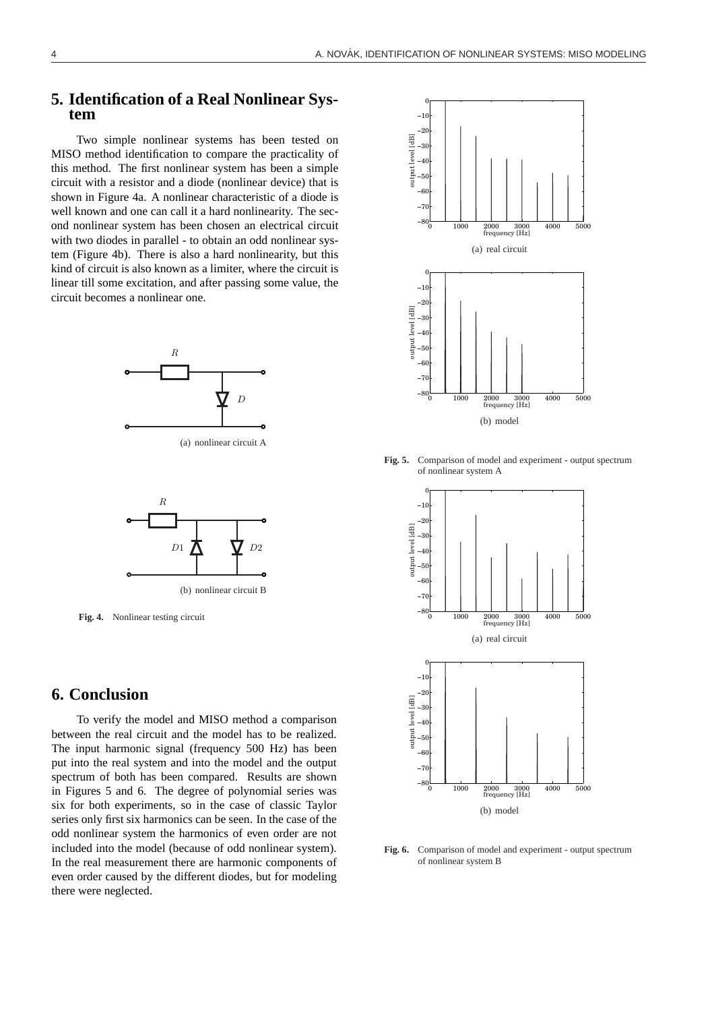#### **5. Identification of a Real Nonlinear System**

Two simple nonlinear systems has been tested on MISO method identification to compare the practicality of this method. The first nonlinear system has been a simple circuit with a resistor and a diode (nonlinear device) that is shown in Figure 4a. A nonlinear characteristic of a diode is well known and one can call it a hard nonlinearity. The second nonlinear system has been chosen an electrical circuit with two diodes in parallel - to obtain an odd nonlinear system (Figure 4b). There is also a hard nonlinearity, but this kind of circuit is also known as a limiter, where the circuit is linear till some excitation, and after passing some value, the circuit becomes a nonlinear one.



(a) nonlinear circuit A



**Fig. 4.** Nonlinear testing circuit

# **6. Conclusion**

To verify the model and MISO method a comparison between the real circuit and the model has to be realized. The input harmonic signal (frequency 500 Hz) has been put into the real system and into the model and the output spectrum of both has been compared. Results are shown in Figures 5 and 6. The degree of polynomial series was six for both experiments, so in the case of classic Taylor series only first six harmonics can be seen. In the case of the odd nonlinear system the harmonics of even order are not included into the model (because of odd nonlinear system). In the real measurement there are harmonic components of even order caused by the different diodes, but for modeling there were neglected.



**Fig. 5.** Comparison of model and experiment - output spectrum of nonlinear system A



Fig. 6. Comparison of model and experiment - output spectrum of nonlinear system B